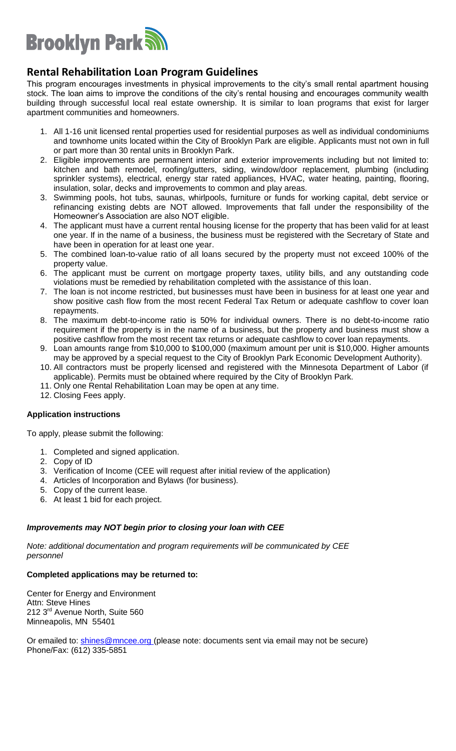

## **Rental Rehabilitation Loan Program Guidelines**

This program encourages investments in physical improvements to the city's small rental apartment housing stock. The loan aims to improve the conditions of the city's rental housing and encourages community wealth building through successful local real estate ownership. It is similar to loan programs that exist for larger apartment communities and homeowners.

- 1. All 1-16 unit licensed rental properties used for residential purposes as well as individual condominiums and townhome units located within the City of Brooklyn Park are eligible. Applicants must not own in full or part more than 30 rental units in Brooklyn Park.
- 2. Eligible improvements are permanent interior and exterior improvements including but not limited to: kitchen and bath remodel, roofing/gutters, siding, window/door replacement, plumbing (including sprinkler systems), electrical, energy star rated appliances, HVAC, water heating, painting, flooring, insulation, solar, decks and improvements to common and play areas.
- 3. Swimming pools, hot tubs, saunas, whirlpools, furniture or funds for working capital, debt service or refinancing existing debts are NOT allowed. Improvements that fall under the responsibility of the Homeowner's Association are also NOT eligible.
- 4. The applicant must have a current rental housing license for the property that has been valid for at least one year. If in the name of a business, the business must be registered with the Secretary of State and have been in operation for at least one year.
- 5. The combined loan-to-value ratio of all loans secured by the property must not exceed 100% of the property value.
- 6. The applicant must be current on mortgage property taxes, utility bills, and any outstanding code violations must be remedied by rehabilitation completed with the assistance of this loan.
- 7. The loan is not income restricted, but businesses must have been in business for at least one year and show positive cash flow from the most recent Federal Tax Return or adequate cashflow to cover loan repayments.
- 8. The maximum debt-to-income ratio is 50% for individual owners. There is no debt-to-income ratio requirement if the property is in the name of a business, but the property and business must show a positive cashflow from the most recent tax returns or adequate cashflow to cover loan repayments.
- 9. Loan amounts range from \$10,000 to \$100,000 (maximum amount per unit is \$10,000. Higher amounts may be approved by a special request to the City of Brooklyn Park Economic Development Authority).
- 10. All contractors must be properly licensed and registered with the Minnesota Department of Labor (if applicable). Permits must be obtained where required by the City of Brooklyn Park.
- 11. Only one Rental Rehabilitation Loan may be open at any time.
- 12. Closing Fees apply.

### **Application instructions**

To apply, please submit the following:

- 1. Completed and signed application.
- 2. Copy of ID
- 3. Verification of Income (CEE will request after initial review of the application)
- 4. Articles of Incorporation and Bylaws (for business).
- 5. Copy of the current lease.
- 6. At least 1 bid for each project.

#### *Improvements may NOT begin prior to closing your loan with CEE*

*Note: additional documentation and program requirements will be communicated by CEE personnel*

#### **Completed applications may be returned to:**

Center for Energy and Environment Attn: Steve Hines 212 3<sup>rd</sup> Avenue North, Suite 560 Minneapolis, MN 55401

Or emailed to: **shines@mncee.org** (please note: documents sent via email may not be secure) Phone/Fax: (612) 335-5851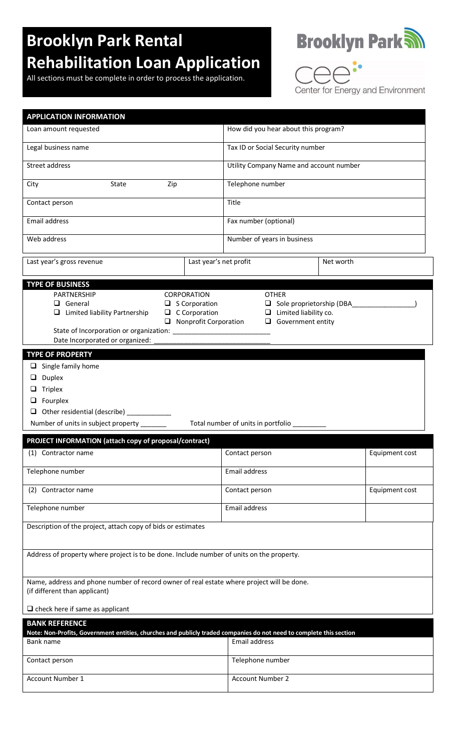# **Brooklyn Park Rental Rehabilitation Loan Application**

All sections must be complete in order to process the application.



 $\supset$  $\overline{\bigcap}$ Center for Energy and Environment

| <b>APPLICATION INFORMATION</b>                                                                                                                                                                                                                                                                                                      |                                         |                |  |  |  |  |  |  |
|-------------------------------------------------------------------------------------------------------------------------------------------------------------------------------------------------------------------------------------------------------------------------------------------------------------------------------------|-----------------------------------------|----------------|--|--|--|--|--|--|
| Loan amount requested                                                                                                                                                                                                                                                                                                               | How did you hear about this program?    |                |  |  |  |  |  |  |
| Legal business name                                                                                                                                                                                                                                                                                                                 | Tax ID or Social Security number        |                |  |  |  |  |  |  |
| Street address                                                                                                                                                                                                                                                                                                                      | Utility Company Name and account number |                |  |  |  |  |  |  |
| Zip<br>City<br>State                                                                                                                                                                                                                                                                                                                | Telephone number                        |                |  |  |  |  |  |  |
| Contact person                                                                                                                                                                                                                                                                                                                      | Title                                   |                |  |  |  |  |  |  |
| Email address                                                                                                                                                                                                                                                                                                                       | Fax number (optional)                   |                |  |  |  |  |  |  |
| Web address                                                                                                                                                                                                                                                                                                                         | Number of years in business             |                |  |  |  |  |  |  |
| Last year's net profit<br>Last year's gross revenue                                                                                                                                                                                                                                                                                 | Net worth                               |                |  |  |  |  |  |  |
| <b>TYPE OF BUSINESS</b><br>PARTNERSHIP<br>CORPORATION<br><b>OTHER</b><br>Sole proprietorship (DBA<br>General<br>$\Box$ S Corporation<br>$\Box$ Limited liability Partnership<br>$\Box$ C Corporation<br>$\Box$ Limited liability co.<br>$\Box$ Nonprofit Corporation<br>$\Box$ Government entity<br>Date Incorporated or organized: |                                         |                |  |  |  |  |  |  |
| <b>TYPE OF PROPERTY</b>                                                                                                                                                                                                                                                                                                             |                                         |                |  |  |  |  |  |  |
| $\Box$ Single family home<br>Duplex<br>u.<br>Triplex<br>u.<br>Fourplex<br>u.<br>Other residential (describe) ___________<br>⊔<br>Total number of units in portfolio<br>Number of units in subject property ______                                                                                                                   |                                         |                |  |  |  |  |  |  |
|                                                                                                                                                                                                                                                                                                                                     |                                         |                |  |  |  |  |  |  |
| PROJECT INFORMATION (attach copy of proposal/contract)<br>(1) Contractor name                                                                                                                                                                                                                                                       | Contact person                          | Equipment cost |  |  |  |  |  |  |
| Telephone number                                                                                                                                                                                                                                                                                                                    | Email address                           |                |  |  |  |  |  |  |
| (2) Contractor name                                                                                                                                                                                                                                                                                                                 | Contact person                          | Equipment cost |  |  |  |  |  |  |
| Telephone number                                                                                                                                                                                                                                                                                                                    | Email address                           |                |  |  |  |  |  |  |
| Description of the project, attach copy of bids or estimates                                                                                                                                                                                                                                                                        |                                         |                |  |  |  |  |  |  |
| Address of property where project is to be done. Include number of units on the property.                                                                                                                                                                                                                                           |                                         |                |  |  |  |  |  |  |
|                                                                                                                                                                                                                                                                                                                                     |                                         |                |  |  |  |  |  |  |
| Name, address and phone number of record owner of real estate where project will be done.<br>(if different than applicant)                                                                                                                                                                                                          |                                         |                |  |  |  |  |  |  |
| $\Box$ check here if same as applicant                                                                                                                                                                                                                                                                                              |                                         |                |  |  |  |  |  |  |
| <b>BANK REFERENCE</b>                                                                                                                                                                                                                                                                                                               |                                         |                |  |  |  |  |  |  |
| Note: Non-Profits, Government entities, churches and publicly traded companies do not need to complete this section<br>Bank name                                                                                                                                                                                                    | Email address                           |                |  |  |  |  |  |  |
| Contact person                                                                                                                                                                                                                                                                                                                      | Telephone number                        |                |  |  |  |  |  |  |